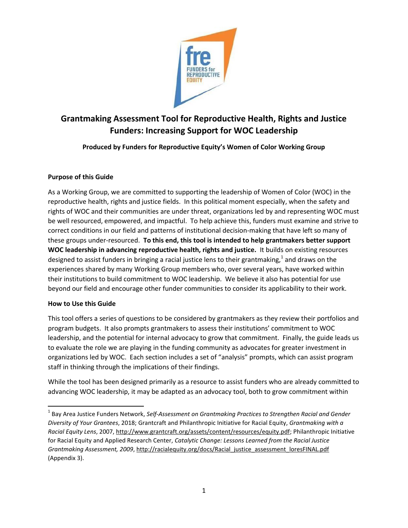

# **Grantmaking Assessment Tool for Reproductive Health, Rights and Justice Funders: Increasing Support for WOC Leadership**

**Produced by Funders for Reproductive Equity's Women of Color Working Group**

### **Purpose of this Guide**

As a Working Group, we are committed to supporting the leadership of Women of Color (WOC) in the reproductive health, rights and justice fields. In this political moment especially, when the safety and rights of WOC and their communities are under threat, organizations led by and representing WOC must be well resourced, empowered, and impactful. To help achieve this, funders must examine and strive to correct conditions in our field and patterns of institutional decision-making that have left so many of these groups under-resourced. **To this end, this tool is intended to help grantmakers better support WOC leadership in advancing reproductive health, rights and justice.** It builds on existing resources designed to assist funders in bringing a racial justice lens to their grantmaking, $^1$  and draws on the experiences shared by many Working Group members who, over several years, have worked within their institutions to build commitment to WOC leadership. We believe it also has potential for use beyond our field and encourage other funder communities to consider its applicability to their work.

#### **How to Use this Guide**

This tool offers a series of questions to be considered by grantmakers as they review their portfolios and program budgets. It also prompts grantmakers to assess their institutions' commitment to WOC leadership, and the potential for internal advocacy to grow that commitment. Finally, the guide leads us to evaluate the role we are playing in the funding community as advocates for greater investment in organizations led by WOC. Each section includes a set of "analysis" prompts, which can assist program staff in thinking through the implications of their findings.

While the tool has been designed primarily as a resource to assist funders who are already committed to advancing WOC leadership, it may be adapted as an advocacy tool, both to grow commitment within

 $\overline{\phantom{a}}$ <sup>1</sup> Bay Area Justice Funders Network, Self-Assessment on Grantmaking Practices to Strengthen Racial and Gender *Diversity of Your Grantees*, 2018; Grantcraft and Philanthropic Initiative for Racial Equity, *Grantmaking with a Racial Equity Lens*, 2007, [http://www.grantcraft.org/assets/content/resources/equity.pdf;](http://www.grantcraft.org/assets/content/resources/equity.pdf) Philanthropic Initiative for Racial Equity and Applied Research Center, *Catalytic Change: Lessons Learned from the Racial Justice Grantmaking Assessment, 2009*, [http://racialequity.org/docs/Racial\\_justice\\_assessment\\_loresFINAL.pdf](http://racialequity.org/docs/Racial_justice_assessment_loresFINAL.pdf) (Appendix 3).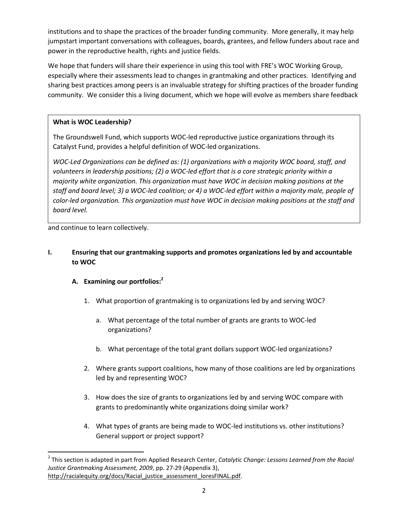institutions and to shape the practices of the broader funding community. More generally, it may help jumpstart important conversations with colleagues, boards, grantees, and fellow funders about race and power in the reproductive health, rights and justice fields.

We hope that funders will share their experience in using this tool with FRE's WOC Working Group, especially where their assessments lead to changes in grantmaking and other practices. Identifying and sharing best practices among peers is an invaluable strategy for shifting practices of the broader funding community. We consider this a living document, which we hope will evolve as members share feedback

## **What is WOC Leadership?**

The Groundswell Fund, which supports WOC-led reproductive justice organizations through its Catalyst Fund, provides a helpful definition of WOC-led organizations.

*WOC-Led Organizations can be defined as: (1) organizations with a majority WOC board, staff, and volunteers in leadership positions; (2) a WOC-led effort that is a core strategic priority within a majority white organization. This organization must have WOC in decision making positions at the staff and board level; 3) a WOC-led coalition; or 4) a WOC-led effort within a majority male, people of color-led organization. This organization must have WOC in decision making positions at the staff and board level.*

and continue to learn collectively.

## **I. Ensuring that our grantmaking supports and promotes organizations led by and accountable to WOC**

## **A. Examining our portfolios: 2**

- 1. What proportion of grantmaking is to organizations led by and serving WOC?
	- a. What percentage of the total number of grants are grants to WOC-led organizations?
	- b. What percentage of the total grant dollars support WOC-led organizations?
- 2. Where grants support coalitions, how many of those coalitions are led by organizations led by and representing WOC?
- 3. How does the size of grants to organizations led by and serving WOC compare with grants to predominantly white organizations doing similar work?
- 4. What types of grants are being made to WOC-led institutions vs. other institutions? General support or project support?

 $\overline{\phantom{a}}$ 2 This section is adapted in part from Applied Research Center, *Catalytic Change: Lessons Learned from the Racial Justice Grantmaking Assessment, 2009*, pp. 27-29 (Appendix 3), [http://racialequity.org/docs/Racial\\_justice\\_assessment\\_loresFINAL.pdf.](http://racialequity.org/docs/Racial_justice_assessment_loresFINAL.pdf)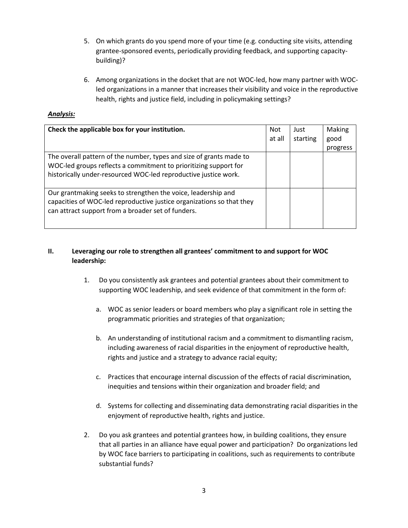- 5. On which grants do you spend more of your time (e.g. conducting site visits, attending grantee-sponsored events, periodically providing feedback, and supporting capacitybuilding)?
- 6. Among organizations in the docket that are not WOC-led, how many partner with WOCled organizations in a manner that increases their visibility and voice in the reproductive health, rights and justice field, including in policymaking settings?

#### *Analysis:*

| Check the applicable box for your institution.                                                                                                                                                             | <b>Not</b> | Just     | Making   |
|------------------------------------------------------------------------------------------------------------------------------------------------------------------------------------------------------------|------------|----------|----------|
|                                                                                                                                                                                                            | at all     | starting | good     |
|                                                                                                                                                                                                            |            |          | progress |
| The overall pattern of the number, types and size of grants made to<br>WOC-led groups reflects a commitment to prioritizing support for<br>historically under-resourced WOC-led reproductive justice work. |            |          |          |
| Our grantmaking seeks to strengthen the voice, leadership and<br>capacities of WOC-led reproductive justice organizations so that they<br>can attract support from a broader set of funders.               |            |          |          |

## **II. Leveraging our role to strengthen all grantees' commitment to and support for WOC leadership:**

- 1. Do you consistently ask grantees and potential grantees about their commitment to supporting WOC leadership, and seek evidence of that commitment in the form of:
	- a. WOC as senior leaders or board members who play a significant role in setting the programmatic priorities and strategies of that organization;
	- b. An understanding of institutional racism and a commitment to dismantling racism, including awareness of racial disparities in the enjoyment of reproductive health, rights and justice and a strategy to advance racial equity;
	- c. Practices that encourage internal discussion of the effects of racial discrimination, inequities and tensions within their organization and broader field; and
	- d. Systems for collecting and disseminating data demonstrating racial disparities in the enjoyment of reproductive health, rights and justice.
- 2. Do you ask grantees and potential grantees how, in building coalitions, they ensure that all parties in an alliance have equal power and participation? Do organizations led by WOC face barriers to participating in coalitions, such as requirements to contribute substantial funds?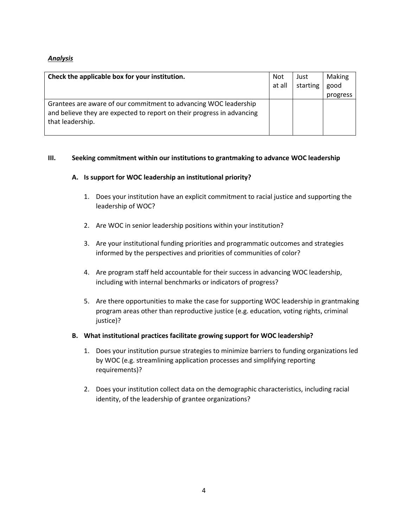## *Analysis*

| Check the applicable box for your institution.                                                                                                                 | Not    | Just     | <b>Making</b> |
|----------------------------------------------------------------------------------------------------------------------------------------------------------------|--------|----------|---------------|
|                                                                                                                                                                | at all | starting | good          |
| Grantees are aware of our commitment to advancing WOC leadership<br>and believe they are expected to report on their progress in advancing<br>that leadership. |        |          | progress      |

#### **III. Seeking commitment within our institutions to grantmaking to advance WOC leadership**

#### **A. Is support for WOC leadership an institutional priority?**

- 1. Does your institution have an explicit commitment to racial justice and supporting the leadership of WOC?
- 2. Are WOC in senior leadership positions within your institution?
- 3. Are your institutional funding priorities and programmatic outcomes and strategies informed by the perspectives and priorities of communities of color?
- 4. Are program staff held accountable for their success in advancing WOC leadership, including with internal benchmarks or indicators of progress?
- 5. Are there opportunities to make the case for supporting WOC leadership in grantmaking program areas other than reproductive justice (e.g. education, voting rights, criminal justice)?
- **B. What institutional practices facilitate growing support for WOC leadership?**
	- 1. Does your institution pursue strategies to minimize barriers to funding organizations led by WOC (e.g. streamlining application processes and simplifying reporting requirements)?
	- 2. Does your institution collect data on the demographic characteristics, including racial identity, of the leadership of grantee organizations?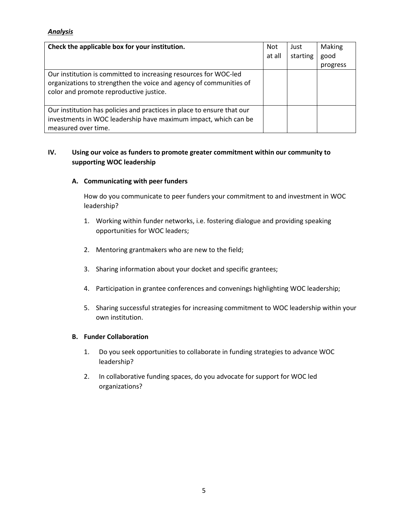## *Analysis*

| Check the applicable box for your institution.                                                                                                                                    | <b>Not</b><br>at all | Just<br>starting | Making<br>good<br>progress |
|-----------------------------------------------------------------------------------------------------------------------------------------------------------------------------------|----------------------|------------------|----------------------------|
| Our institution is committed to increasing resources for WOC-led<br>organizations to strengthen the voice and agency of communities of<br>color and promote reproductive justice. |                      |                  |                            |
| Our institution has policies and practices in place to ensure that our<br>investments in WOC leadership have maximum impact, which can be<br>measured over time.                  |                      |                  |                            |

## **IV. Using our voice as funders to promote greater commitment within our community to supporting WOC leadership**

#### **A. Communicating with peer funders**

How do you communicate to peer funders your commitment to and investment in WOC leadership?

- 1. Working within funder networks, i.e. fostering dialogue and providing speaking opportunities for WOC leaders;
- 2. Mentoring grantmakers who are new to the field;
- 3. Sharing information about your docket and specific grantees;
- 4. Participation in grantee conferences and convenings highlighting WOC leadership;
- 5. Sharing successful strategies for increasing commitment to WOC leadership within your own institution.

#### **B. Funder Collaboration**

- 1. Do you seek opportunities to collaborate in funding strategies to advance WOC leadership?
- 2. In collaborative funding spaces, do you advocate for support for WOC led organizations?